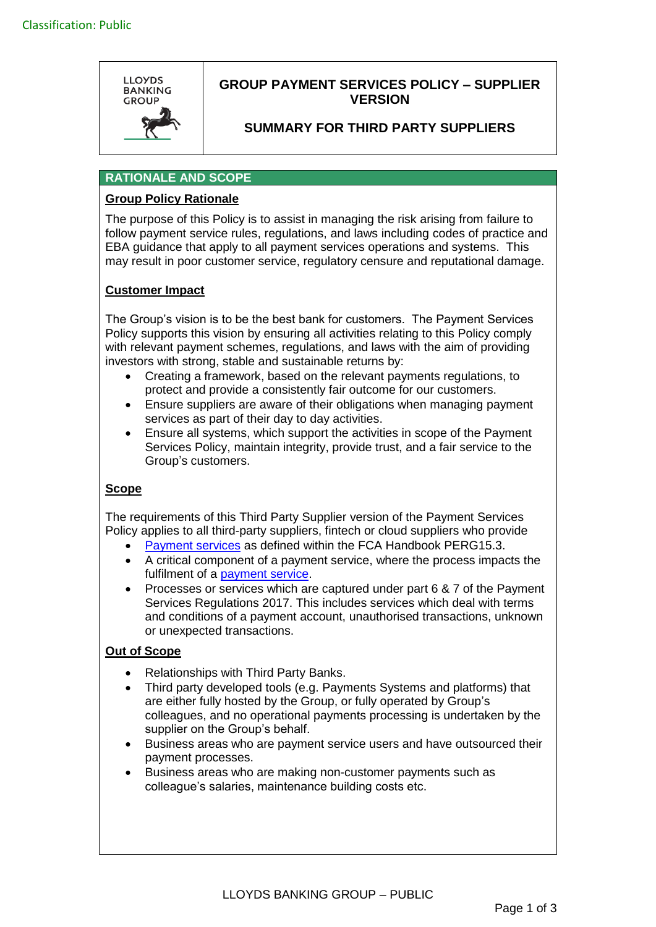

# **GROUP PAYMENT SERVICES POLICY – SUPPLIER VERSION**

## **SUMMARY FOR THIRD PARTY SUPPLIERS**

### **RATIONALE AND SCOPE**

### **Group Policy Rationale**

The purpose of this Policy is to assist in managing the risk arising from failure to follow payment service rules, regulations, and laws including codes of practice and EBA guidance that apply to all payment services operations and systems. This may result in poor customer service, regulatory censure and reputational damage.

## **Customer Impact**

The Group's vision is to be the best bank for customers. The Payment Services Policy supports this vision by ensuring all activities relating to this Policy comply with relevant payment schemes, regulations, and laws with the aim of providing investors with strong, stable and sustainable returns by:

- Creating a framework, based on the relevant payments regulations, to protect and provide a consistently fair outcome for our customers.
- Ensure suppliers are aware of their obligations when managing payment services as part of their day to day activities.
- Ensure all systems, which support the activities in scope of the Payment Services Policy, maintain integrity, provide trust, and a fair service to the Group's customers.

### **Scope**

The requirements of this Third Party Supplier version of the Payment Services Policy applies to all third-party suppliers, fintech or cloud suppliers who provide

- [Payment services](https://www.handbook.fca.org.uk/handbook/PERG/15/3.html) as defined within the FCA Handbook PERG15.3.
- A critical component of a payment service, where the process impacts the fulfilment of a [payment service.](https://www.handbook.fca.org.uk/handbook/PERG/15/3.html)
- Processes or services which are captured under part 6 & 7 of the Payment Services Regulations 2017. This includes services which deal with terms and conditions of a payment account, unauthorised transactions, unknown or unexpected transactions.

### **Out of Scope**

- Relationships with Third Party Banks.
- Third party developed tools (e.g. Payments Systems and platforms) that are either fully hosted by the Group, or fully operated by Group's colleagues, and no operational payments processing is undertaken by the supplier on the Group's behalf.
- Business areas who are payment service users and have outsourced their payment processes.
- Business areas who are making non-customer payments such as colleague's salaries, maintenance building costs etc.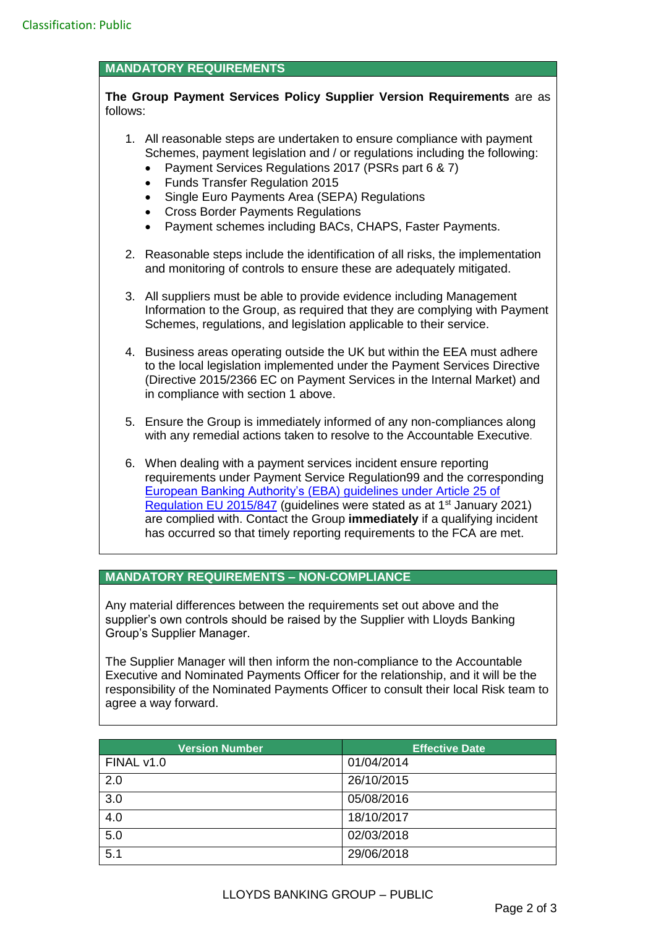### **MANDATORY REQUIREMENTS**

#### **The Group Payment Services Policy Supplier Version Requirements** are as follows:

- 1. All reasonable steps are undertaken to ensure compliance with payment Schemes, payment legislation and / or regulations including the following:
	- Payment Services Regulations 2017 (PSRs part 6 & 7)
	- Funds Transfer Regulation 2015
	- Single Euro Payments Area (SEPA) Regulations
	- Cross Border Payments Regulations
	- Payment schemes including BACs, CHAPS, Faster Payments.
- 2. Reasonable steps include the identification of all risks, the implementation and monitoring of controls to ensure these are adequately mitigated.
- 3. All suppliers must be able to provide evidence including Management Information to the Group, as required that they are complying with Payment Schemes, regulations, and legislation applicable to their service.
- 4. Business areas operating outside the UK but within the EEA must adhere to the local legislation implemented under the Payment Services Directive (Directive 2015/2366 EC on Payment Services in the Internal Market) and in compliance with section 1 above.
- 5. Ensure the Group is immediately informed of any non-compliances along with any remedial actions taken to resolve to the Accountable Executive.
- 6. When dealing with a payment services incident ensure reporting requirements under Payment Service Regulation99 and the corresponding European Banking Authority's [\(EBA\) guidelines under Article 25 of](https://eba.europa.eu/sites/default/documents/files/documents/10180/1914076/3902c3db-c86d-40b7-b875-dd50eec87657/Guidelines%20on%20incident%20reporting%20under%20PSD2%20(EBA-GL-2017-10).pdf)  [Regulation EU 2015/847](https://eba.europa.eu/sites/default/documents/files/documents/10180/1914076/3902c3db-c86d-40b7-b875-dd50eec87657/Guidelines%20on%20incident%20reporting%20under%20PSD2%20(EBA-GL-2017-10).pdf) (guidelines were stated as at 1<sup>st</sup> January 2021) are complied with. Contact the Group **immediately** if a qualifying incident has occurred so that timely reporting requirements to the FCA are met.

### **MANDATORY REQUIREMENTS – NON-COMPLIANCE**

Any material differences between the requirements set out above and the supplier's own controls should be raised by the Supplier with Lloyds Banking Group's Supplier Manager.

The Supplier Manager will then inform the non-compliance to the Accountable Executive and Nominated Payments Officer for the relationship, and it will be the responsibility of the Nominated Payments Officer to consult their local Risk team to agree a way forward.

| <b>Version Number</b> | <b>Effective Date</b> |
|-----------------------|-----------------------|
| FINAL v1.0            | 01/04/2014            |
| 2.0                   | 26/10/2015            |
| 3.0                   | 05/08/2016            |
| 4.0                   | 18/10/2017            |
| 5.0                   | 02/03/2018            |
| 5.1                   | 29/06/2018            |